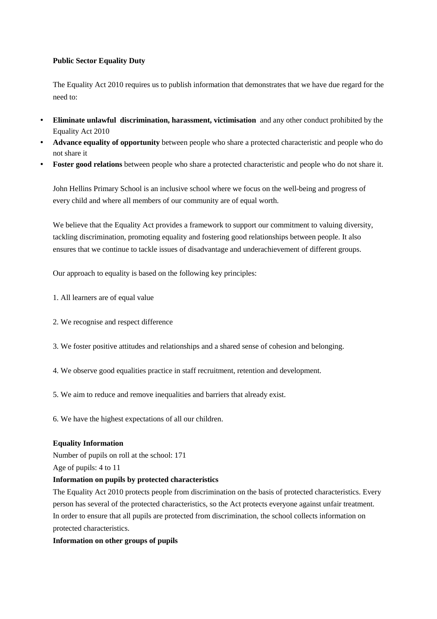### **Public Sector Equality Duty**

The Equality Act 2010 requires us to publish information that demonstrates that we have due regard for the need to:

- **Eliminate unlawful discrimination, harassment, victimisation** and any other conduct prohibited by the Equality Act 2010
- **Advance equality of opportunity** between people who share a protected characteristic and people who do not share it
- **Foster good relations** between people who share a protected characteristic and people who do not share it.

John Hellins Primary School is an inclusive school where we focus on the well-being and progress of every child and where all members of our community are of equal worth.

We believe that the Equality Act provides a framework to support our commitment to valuing diversity, tackling discrimination, promoting equality and fostering good relationships between people. It also ensures that we continue to tackle issues of disadvantage and underachievement of different groups.

Our approach to equality is based on the following key principles:

- 1. All learners are of equal value
- 2. We recognise and respect difference
- 3. We foster positive attitudes and relationships and a shared sense of cohesion and belonging.
- 4. We observe good equalities practice in staff recruitment, retention and development.
- 5. We aim to reduce and remove inequalities and barriers that already exist.
- 6. We have the highest expectations of all our children.

#### **Equality Information**

Number of pupils on roll at the school: 171

Age of pupils: 4 to 11

#### **Information on pupils by protected characteristics**

The Equality Act 2010 protects people from discrimination on the basis of protected characteristics. Every person has several of the protected characteristics, so the Act protects everyone against unfair treatment. In order to ensure that all pupils are protected from discrimination, the school collects information on protected characteristics.

### **Information on other groups of pupils**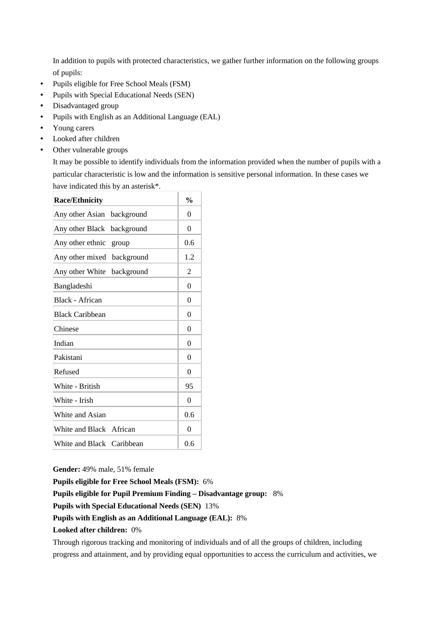In addition to pupils with protected characteristics, we gather further information on the following groups of pupils:

- Pupils eligible for Free School Meals (FSM)
- Pupils with Special Educational Needs (SEN)
- Disadvantaged group
- Pupils with English as an Additional Language (EAL)
- Young carers
- Looked after children
- Other vulnerable groups

It may be possible to identify individuals from the information provided when the number of pupils with a particular characteristic is low and the information is sensitive personal information. In these cases we have indicated this by an asterisk\*.

| <b>Race/Ethnicity</b>         | $\frac{0}{0}$ |
|-------------------------------|---------------|
| Any other Asian<br>background | 0             |
| Any other Black<br>background | $\theta$      |
| Any other ethnic<br>group     | 0.6           |
| Any other mixed<br>background | 1.2           |
| Any other White<br>background | 2             |
| Bangladeshi                   | $\Omega$      |
| Black - African               | $\Omega$      |
| <b>Black Caribbean</b>        | $\Omega$      |
| Chinese                       | $\theta$      |
| Indian                        | $\theta$      |
| Pakistani                     | $\theta$      |
| Refused                       | $\theta$      |
| White - British               | 95            |
| White - Irish                 | $\theta$      |
| White and Asian               | 0.6           |
| White and Black African       | $\theta$      |
| White and Black Caribbean     | 0.6           |

**Gender:** 49% male, 51% female

**Pupils eligible for Free School Meals (FSM):** 6%

**Pupils eligible for Pupil Premium Finding – Disadvantage group:** 8%

**Pupils with Special Educational Needs (SEN)** 13%

#### **Pupils with English as an Additional Language (EAL):** 8%

**Looked after children:** 0%

Through rigorous tracking and monitoring of individuals and of all the groups of children, including progress and attainment, and by providing equal opportunities to access the curriculum and activities, we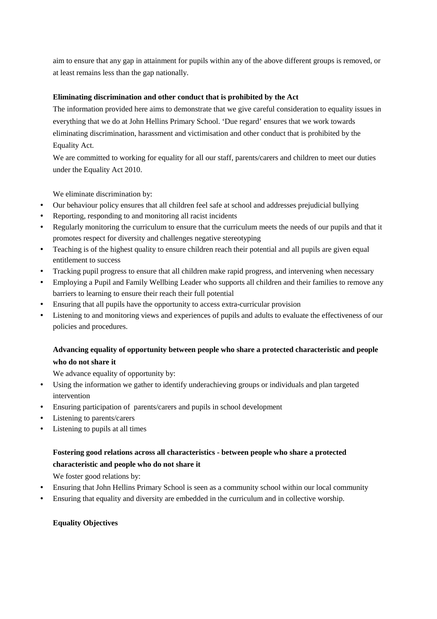aim to ensure that any gap in attainment for pupils within any of the above different groups is removed, or at least remains less than the gap nationally.

## **Eliminating discrimination and other conduct that is prohibited by the Act**

The information provided here aims to demonstrate that we give careful consideration to equality issues in everything that we do at John Hellins Primary School. 'Due regard' ensures that we work towards eliminating discrimination, harassment and victimisation and other conduct that is prohibited by the Equality Act.

We are committed to working for equality for all our staff, parents/carers and children to meet our duties under the Equality Act 2010.

We eliminate discrimination by:

- Our behaviour policy ensures that all children feel safe at school and addresses prejudicial bullying
- Reporting, responding to and monitoring all racist incidents
- Regularly monitoring the curriculum to ensure that the curriculum meets the needs of our pupils and that it promotes respect for diversity and challenges negative stereotyping
- Teaching is of the highest quality to ensure children reach their potential and all pupils are given equal entitlement to success
- Tracking pupil progress to ensure that all children make rapid progress, and intervening when necessary
- Employing a Pupil and Family Wellbing Leader who supports all children and their families to remove any barriers to learning to ensure their reach their full potential
- Ensuring that all pupils have the opportunity to access extra-curricular provision
- Listening to and monitoring views and experiences of pupils and adults to evaluate the effectiveness of our policies and procedures.

# **Advancing equality of opportunity between people who share a protected characteristic and people who do not share it**

We advance equality of opportunity by:

- Using the information we gather to identify underachieving groups or individuals and plan targeted intervention
- Ensuring participation of parents/carers and pupils in school development
- Listening to parents/carers
- Listening to pupils at all times

# **Fostering good relations across all characteristics - between people who share a protected characteristic and people who do not share it**

We foster good relations by:

- Ensuring that John Hellins Primary School is seen as a community school within our local community
- Ensuring that equality and diversity are embedded in the curriculum and in collective worship.

## **Equality Objectives**